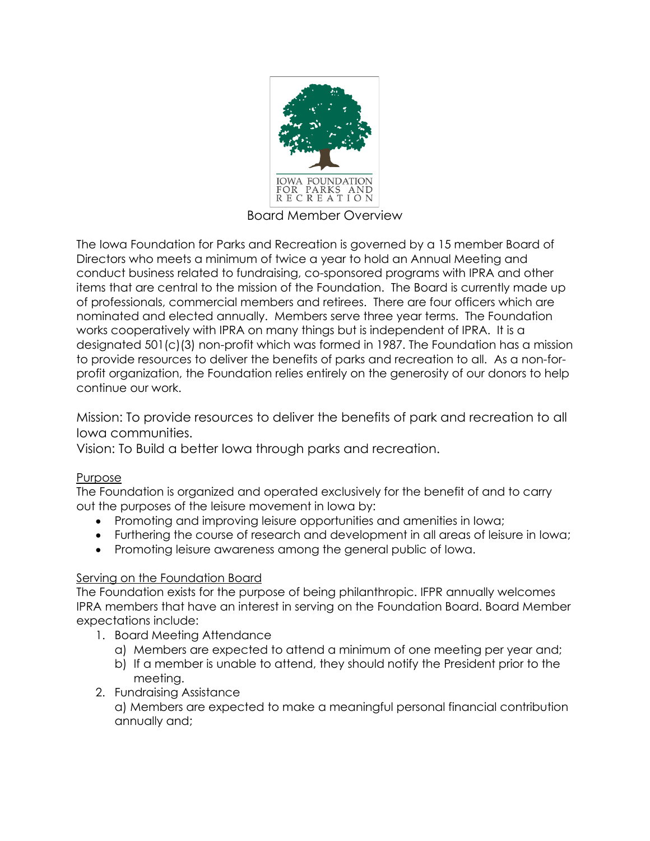

Board Member Overview

The Iowa Foundation for Parks and Recreation is governed by a 15 member Board of Directors who meets a minimum of twice a year to hold an Annual Meeting and conduct business related to fundraising, co-sponsored programs with IPRA and other items that are central to the mission of the Foundation. The Board is currently made up of professionals, commercial members and retirees. There are four officers which are nominated and elected annually. Members serve three year terms. The Foundation works cooperatively with IPRA on many things but is independent of IPRA. It is a designated 501(c)(3) non-profit which was formed in 1987. The Foundation has a mission to provide resources to deliver the benefits of parks and recreation to all. As a non-forprofit organization, the Foundation relies entirely on the generosity of our donors to help continue our work.

Mission: To provide resources to deliver the benefits of park and recreation to all Iowa communities.

Vision: To Build a better Iowa through parks and recreation.

## Purpose

The Foundation is organized and operated exclusively for the benefit of and to carry out the purposes of the leisure movement in Iowa by:

- Promoting and improving leisure opportunities and amenities in Iowa;
- Furthering the course of research and development in all areas of leisure in Iowa;
- Promoting leisure awareness among the general public of Iowa.

## Serving on the Foundation Board

The Foundation exists for the purpose of being philanthropic. IFPR annually welcomes IPRA members that have an interest in serving on the Foundation Board. Board Member expectations include:

- 1. Board Meeting Attendance
	- a) Members are expected to attend a minimum of one meeting per year and;
	- b) If a member is unable to attend, they should notify the President prior to the meeting.
- 2. Fundraising Assistance

a) Members are expected to make a meaningful personal financial contribution annually and;